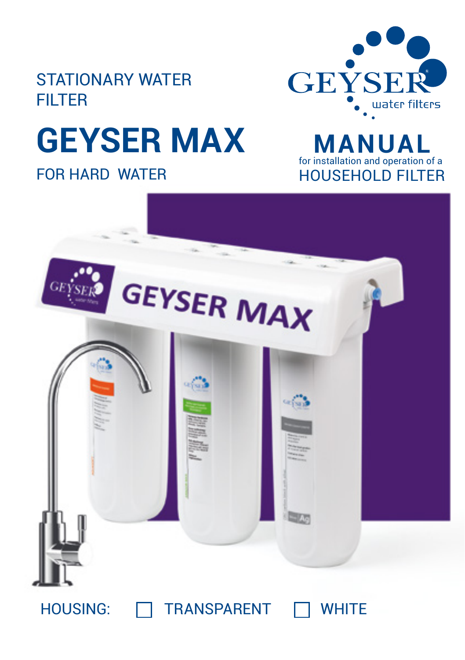

# STATIONARY WATER FILTER

# **GEYSER MAX**

FOR HARD WATER

**MANUA** for installation and operation of a HOUSEHOLD FILTER



# HOUSING: **THE TRANSPARENT** TWHITE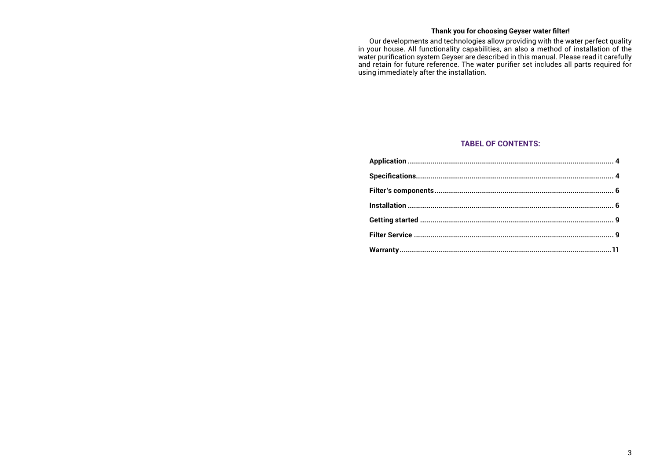# **Thank you for choosing Geyser water filter!**

Our developments and technologies allow providing with the water perfect quality in your house. All functionality capabilities, an also a method of installation of the water purification system Geyser are described in this manual. Please read it carefully and retain for future reference. The water purifier set includes all parts required for using immediately after the installation.

# **TABEL OF CONTENTS:**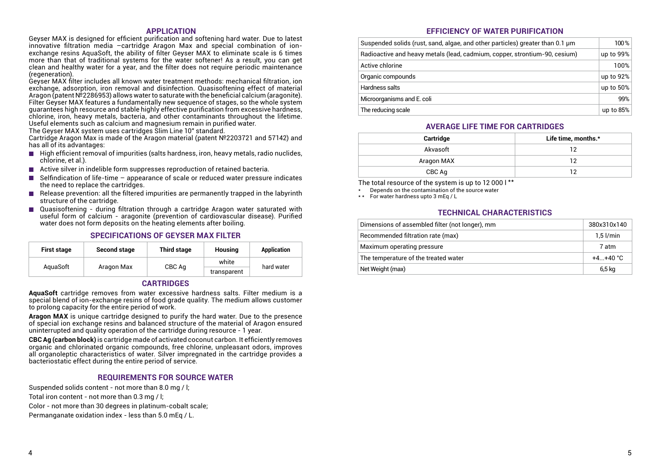### **APPLICATION**

Geyser MAX is designed for efficient purification and softening hard water. Due to latest innovative filtration media –cartridge Aragon Max and special combination of ionexchange resins AquaSoft, the ability of filter Geyser MAX to eliminate scale is 6 times more than that of traditional systems for the water softener! As a result, you can get clean and healthy water for a year, and the filter does not require periodic maintenance (regeneration).

Geyser MAX filter includes all known water treatment methods: mechanical filtration, ion exchange, adsorption, iron removal and disinfection. Quasisoftening effect of material Aragon (patent №2286953) allows water to saturate with the beneficial calcium (aragonite). Filter Geyser MAX features a fundamentally new sequence of stages, so the whole system guarantees high resource and stable highly effective purification from excessive hardness, chlorine, iron, heavy metals, bacteria, and other contaminants throughout the lifetime. Useful elements such as calcium and magnesium remain in purified water.

The Geyser MAX system uses cartridges Slim Line 10" standard.

Cartridge Aragon Max is made of the Aragon material (patent №2203721 and 57142) and has all of its advantages:

- $\blacksquare$  High efficient removal of impurities (salts hardness, iron, heavy metals, radio nuclides, chlorine, et al.).
- Active silver in indelible form suppresses reproduction of retained bacteria.
- $\blacksquare$  Selfindication of life-time appearance of scale or reduced water pressure indicates the need to replace the cartridges.
- $\blacksquare$  Release prevention: all the filtered impurities are permanently trapped in the labyrinth structure of the cartridge.
- Quasisoftening during filtration through a cartridge Aragon water saturated with useful form of calcium - aragonite (prevention of cardiovascular disease). Purified water does not form deposits on the heating elements after boiling.

# **SPECIFICATIONS OF GEYSER MAX FILTER**

| <b>First stage</b> | <b>Second stage</b>              | <b>Third stage</b> | Housing     | Application |
|--------------------|----------------------------------|--------------------|-------------|-------------|
|                    | AguaSoft<br>Aragon Max<br>CBC Aq | white              | hard water  |             |
|                    |                                  |                    | transparent |             |

# **CARTRIDGES**

**AquaSoft** cartridge removes from water excessive hardness salts. Filter medium is a special blend of ion-exchange resins of food grade quality. The medium allows customer to prolong capacity for the entire period of work.

**Aragon MAX** is unique cartridge designed to purify the hard water. Due to the presence of special ion exchange resins and balanced structure of the material of Aragon ensured uninterrupted and quality operation of the cartridge during resource - 1 year.

**CBC Ag (carbon block)** is cartridge made of activated coconut carbon. It efficiently removes organic and chlorinated organic compounds, free chlorine, unpleasant odors, improves all organoleptic characteristics of water. Silver impregnated in the cartridge provides a bacteriostatic effect during the entire period of service.

### **REQUIREMENTS FOR SOURCE WATER**

Suspended solids content - not more than 8.0 mg / l; Total iron content - not more than 0.3 mg / l; Color - not more than 30 degrees in platinum-cobalt scale;

Permanganate oxidation index - less than 5.0 mEq / L.

# **EFFICIENCY OF WATER PURIFICATION**

| Suspended solids (rust, sand, algae, and other particles) greater than 0.1 µm |              |
|-------------------------------------------------------------------------------|--------------|
| Radioactive and heavy metals (lead, cadmium, copper, strontium-90, cesium)    |              |
| Active chlorine                                                               | 100%         |
| Organic compounds                                                             | up to 92%    |
| Hardness salts                                                                | up to $50\%$ |
| Microorganisms and E. coli                                                    | 99%          |
| The reducing scale                                                            | up to $85%$  |

### **AVERAGE LIFE TIME FOR CARTRIDGES**

| Cartridge  | Life time, months.* |
|------------|---------------------|
| Akvasoft   | າາ                  |
| Aragon MAX | າາ                  |
| CBC Aq     | າາ                  |

The total resource of the system is up to 12 000 l \*\*

Depends on the contamination of the source water

\* \* For water hardness upto 3 mEq / L

### **TECHNICAL CHARACTERISTICS**

| Dimensions of assembled filter (not longer), mm | 380x310x140 |
|-------------------------------------------------|-------------|
| Recommended filtration rate (max)               | $1.5$ l/min |
| Maximum operating pressure                      | 7 atm       |
| The temperature of the treated water            | $+4+40 °C$  |
| Net Weight (max)                                | 6,5 kg      |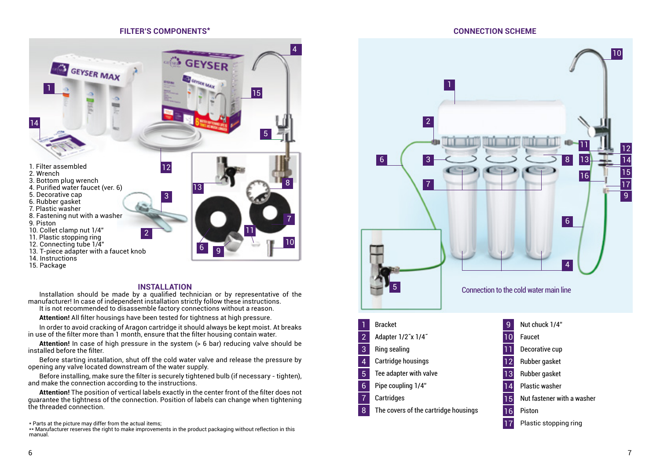#### **FILTER'S COMPONENTS\***



#### **INSTALLATION**

Installation should be made by a qualified technician or by representative of the manufacturer! In case of independent installation strictly follow these instructions. It is not recommended to disassemble factory connections without a reason.

**Attention!** All filter housings have been tested for tightness at high pressure.

In order to avoid cracking of Aragon cartridge it should always be kept moist. At breaks in use of the filter more than 1 month, ensure that the filter housing contain water.

**Attention!** In case of high pressure in the system (> 6 bar) reducing valve should be installed before the filter.

Before starting installation, shut off the cold water valve and release the pressure by opening any valve located downstream of the water supply.

Before installing, make sure the filter is securely tightened bulb (if necessary - tighten), and make the connection according to the instructions.

**Attention!** The position of vertical labels exactly in the center front of the filter does not guarantee the tightness of the connection. Position of labels can change when tightening the threaded connection.

\* Parts at the picture may differ from the actual items;

\*\* Manufacturer reserves the right to make improvements in the product packaging without reflection in this manual.

**CONNECTION SCHEME**

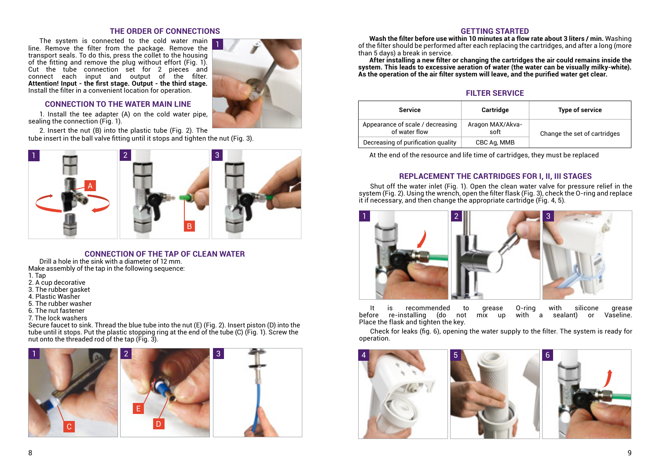# **THE ORDER OF CONNECTIONS**

1

The system is connected to the cold water main | line. Remove the filter from the package. Remove the transport seals. To do this, press the collet to the housing of the fitting and remove the plug without effort (Fig. 1). Cut the tube connection set for 2 pieces and connect each input and output of the filter. **Attention! Input - the first stage. Output - the third stage.** Install the filter in a convenient location for operation.

#### **CONNECTION TO THE WATER MAIN LINE**

1. Install the tee adapter (A) on the cold water pipe, sealing the connection (Fig. 1).

2. Insert the nut (B) into the plastic tube (Fig. 2). The tube insert in the ball valve fitting until it stops and tighten the nut (Fig. 3).



#### **CONNECTION OF THE TAP OF CLEAN WATER**

Drill a hole in the sink with a diameter of 12 mm. Make assembly of the tap in the following sequence:

- 1. Tap
- 2. A cup decorative
- 3. The rubber gasket
- 4. Plastic Washer
- 5. The rubber washer
- 6. The nut fastener
- 7. The lock washers

Secure faucet to sink. Thread the blue tube into the nut (E) (Fig. 2). Insert piston (D) into the tube until it stops. Put the plastic stopping ring at the end of the tube (C) (Fig. 1). Screw the nut onto the threaded rod of the tap (Fig. 3).



#### **GETTING STARTED**

**Wash the filter before use within 10 minutes at a flow rate about 3 liters / min.** Washing of the filter should be performed after each replacing the cartridges, and after a long (more than 5 days) a break in service.

**After installing a new filter or changing the cartridges the air could remains inside the system. This leads to excessive aeration of water (the water can be visually milky-white). As the operation of the air filter system will leave, and the purified water get clear.**

## **FILTER SERVICE**

| <b>Service</b>                                    | Cartridge                | Type of service              |  |
|---------------------------------------------------|--------------------------|------------------------------|--|
| Appearance of scale / decreasing<br>of water flow | Aragon MAX/Akva-<br>soft | Change the set of cartridges |  |
| Decreasing of purification quality                | CBC Ag, MMB              |                              |  |

At the end of the resource and life time of cartridges, they must be replaced

# **REPLACEMENT THE CARTRIDGES FOR I, II, III STAGES**

Shut off the water inlet (Fig. 1). Open the clean water valve for pressure relief in the system (Fig. 2). Using the wrench, open the filter flask (Fig. 3), check the O-ring and replace it if necessary, and then change the appropriate cartridge (Fig. 4, 5).



It is recommended to grease O-ring with silicone grease  $before$  re-installing (do not mix up Place the flask and tighten the key.

Check for leaks (fig. 6), opening the water supply to the filter. The system is ready for operation.

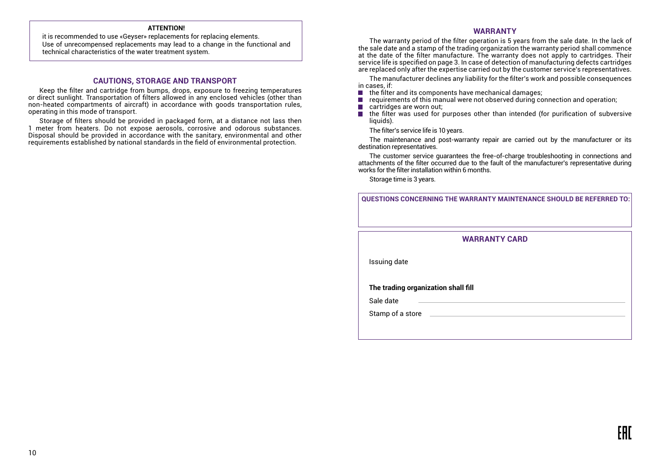#### **ATTENTION!**

it is recommended to use «Geyser» replacements for replacing elements. Use of unrecompensed replacements may lead to a change in the functional and technical characteristics of the water treatment system.

#### **CAUTIONS, STORAGE AND TRANSPORT**

Keep the filter and cartridge from bumps, drops, exposure to freezing temperatures or direct sunlight. Transportation of filters allowed in any enclosed vehicles (other than non-heated compartments of aircraft) in accordance with goods transportation rules, operating in this mode of transport.

Storage of filters should be provided in packaged form, at a distance not lass then 1 meter from heaters. Do not expose aerosols, corrosive and odorous substances. Disposal should be provided in accordance with the sanitary, environmental and other requirements established by national standards in the field of environmental protection.

#### **WARRANTY**

The warranty period of the filter operation is 5 years from the sale date. In the lack of the sale date and a stamp of the trading organization the warranty period shall commence at the date of the filter manufacture. The warranty does not apply to cartridges. Their service life is specified on page 3. In case of detection of manufacturing defects cartridges are replaced only after the expertise carried out by the customer service's representatives.

The manufacturer declines any liability for the filter's work and possible consequences in cases, if:

- the filter and its components have mechanical damages; **Tale**
- requirements of this manual were not observed during connection and operation; F.
- cartridges are worn out; T.
- the filter was used for purposes other than intended (for purification of subversive П liquids).

The filter's service life is 10 years.

The maintenance and post-warranty repair are carried out by the manufacturer or its destination representatives.

The customer service guarantees the free-of-charge troubleshooting in connections and attachments of the filter occurred due to the fault of the manufacturer's representative during works for the filter installation within 6 months.

Storage time is 3 years.

**QUESTIONS CONCERNING THE WARRANTY MAINTENANCE SHOULD BE REFERRED TO:**

**WARRANTY CARD** 

Issuing date

**The trading organization shall fill**

Sale date

Stamp of a store